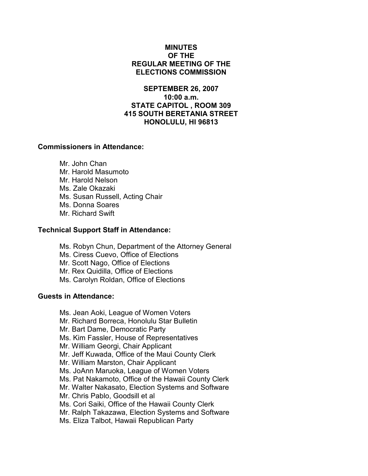# MINUTES OF THE REGULAR MEETING OF THE ELECTIONS COMMISSION

# SEPTEMBER 26, 2007 10:00 a.m. STATE CAPITOL , ROOM 309 415 SOUTH BERETANIA STREET HONOLULU, HI 96813

# Commissioners in Attendance:

 Mr. John Chan Mr. Harold Masumoto Mr. Harold Nelson Ms. Zale Okazaki Ms. Susan Russell, Acting Chair Ms. Donna Soares Mr. Richard Swift

# Technical Support Staff in Attendance:

Ms. Robyn Chun, Department of the Attorney General Ms. Ciress Cuevo, Office of Elections Mr. Scott Nago, Office of Elections Mr. Rex Quidilla, Office of Elections Ms. Carolyn Roldan, Office of Elections

### Guests in Attendance:

 Ms. Jean Aoki, League of Women Voters Mr. Richard Borreca, Honolulu Star Bulletin Mr. Bart Dame, Democratic Party Ms. Kim Fassler, House of Representatives Mr. William Georgi, Chair Applicant Mr. Jeff Kuwada, Office of the Maui County Clerk Mr. William Marston, Chair Applicant Ms. JoAnn Maruoka, League of Women Voters Ms. Pat Nakamoto, Office of the Hawaii County Clerk Mr. Walter Nakasato, Election Systems and Software Mr. Chris Pablo, Goodsill et al Ms. Cori Saiki, Office of the Hawaii County Clerk Mr. Ralph Takazawa, Election Systems and Software Ms. Eliza Talbot, Hawaii Republican Party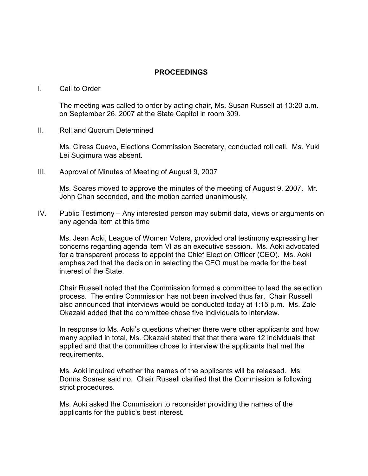# PROCEEDINGS

### I. Call to Order

The meeting was called to order by acting chair, Ms. Susan Russell at 10:20 a.m. on September 26, 2007 at the State Capitol in room 309.

II. Roll and Quorum Determined

Ms. Ciress Cuevo, Elections Commission Secretary, conducted roll call. Ms. Yuki Lei Sugimura was absent.

III. Approval of Minutes of Meeting of August 9, 2007

Ms. Soares moved to approve the minutes of the meeting of August 9, 2007. Mr. John Chan seconded, and the motion carried unanimously.

IV. Public Testimony – Any interested person may submit data, views or arguments on any agenda item at this time

Ms. Jean Aoki, League of Women Voters, provided oral testimony expressing her concerns regarding agenda item VI as an executive session. Ms. Aoki advocated for a transparent process to appoint the Chief Election Officer (CEO). Ms. Aoki emphasized that the decision in selecting the CEO must be made for the best interest of the State.

Chair Russell noted that the Commission formed a committee to lead the selection process. The entire Commission has not been involved thus far. Chair Russell also announced that interviews would be conducted today at 1:15 p.m. Ms. Zale Okazaki added that the committee chose five individuals to interview.

In response to Ms. Aoki's questions whether there were other applicants and how many applied in total, Ms. Okazaki stated that that there were 12 individuals that applied and that the committee chose to interview the applicants that met the requirements.

Ms. Aoki inquired whether the names of the applicants will be released. Ms. Donna Soares said no. Chair Russell clarified that the Commission is following strict procedures.

Ms. Aoki asked the Commission to reconsider providing the names of the applicants for the public's best interest.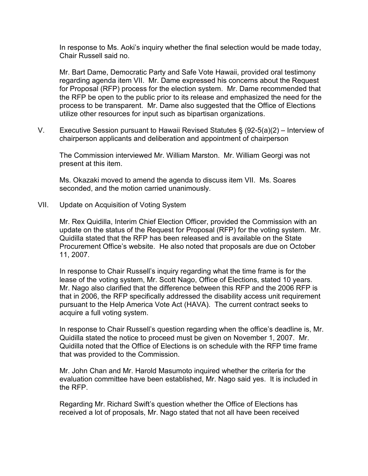In response to Ms. Aoki's inquiry whether the final selection would be made today, Chair Russell said no.

Mr. Bart Dame, Democratic Party and Safe Vote Hawaii, provided oral testimony regarding agenda item VII. Mr. Dame expressed his concerns about the Request for Proposal (RFP) process for the election system. Mr. Dame recommended that the RFP be open to the public prior to its release and emphasized the need for the process to be transparent. Mr. Dame also suggested that the Office of Elections utilize other resources for input such as bipartisan organizations.

V. Executive Session pursuant to Hawaii Revised Statutes § (92-5(a)(2) – Interview of chairperson applicants and deliberation and appointment of chairperson

The Commission interviewed Mr. William Marston. Mr. William Georgi was not present at this item.

Ms. Okazaki moved to amend the agenda to discuss item VII. Ms. Soares seconded, and the motion carried unanimously.

VII. Update on Acquisition of Voting System

 Mr. Rex Quidilla, Interim Chief Election Officer, provided the Commission with an update on the status of the Request for Proposal (RFP) for the voting system. Mr. Quidilla stated that the RFP has been released and is available on the State Procurement Office's website. He also noted that proposals are due on October 11, 2007.

 In response to Chair Russell's inquiry regarding what the time frame is for the lease of the voting system, Mr. Scott Nago, Office of Elections, stated 10 years. Mr. Nago also clarified that the difference between this RFP and the 2006 RFP is that in 2006, the RFP specifically addressed the disability access unit requirement pursuant to the Help America Vote Act (HAVA). The current contract seeks to acquire a full voting system.

 In response to Chair Russell's question regarding when the office's deadline is, Mr. Quidilla stated the notice to proceed must be given on November 1, 2007. Mr. Quidilla noted that the Office of Elections is on schedule with the RFP time frame that was provided to the Commission.

 Mr. John Chan and Mr. Harold Masumoto inquired whether the criteria for the evaluation committee have been established, Mr. Nago said yes. It is included in the RFP.

 Regarding Mr. Richard Swift's question whether the Office of Elections has received a lot of proposals, Mr. Nago stated that not all have been received